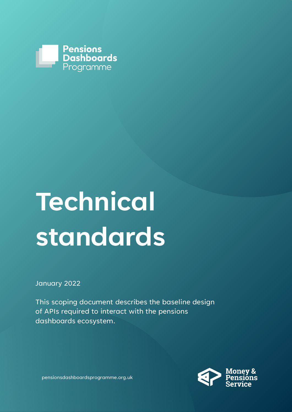

# **Technical standards**

January 2022

This scoping document describes the baseline design of APIs required to interact with the pensions dashboards ecosystem.



pensionsdashboardsprogramme.org.uk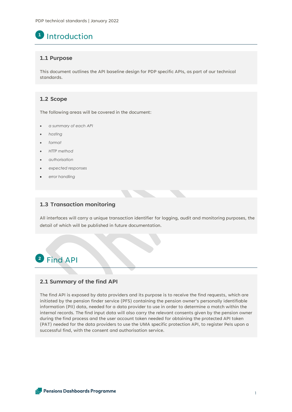# **1** Introduction

## **1.1 Purpose**

This document outlines the API baseline design for PDP specific APIs, as part of our technical standards.

# **1.2 Scope**

The following areas will be covered in the document:

- *a summary of each API*
- *hosting*
- *format*
- *HTTP method*
- *authorisation*
- *expected responses*
- *error handling*

## **1.3 Transaction monitoring**

All interfaces will carry a unique transaction identifier for logging, audit and monitoring purposes, the detail of which will be published in future documentation.

# Find API **2**

# **2.1 Summary of the find API**

The find API is exposed by data providers and its purpose is to receive the find requests, which are initiated by the pension finder service (PFS) containing the pension owner's personally identifiable information (PII) data, needed for a data provider to use in order to determine a match within the internal records. The find input data will also carry the relevant consents given by the pension owner during the find process and the user account token needed for obtaining the protected API token (PAT) needed for the data providers to use the UMA specific protection API, to register PeIs upon a successful find, with the consent and authorisation service.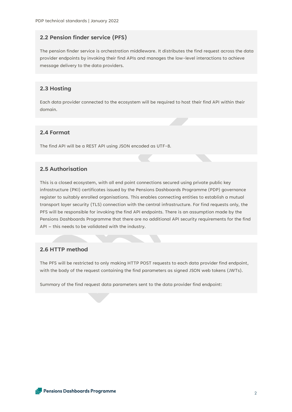# **2.2 Pension finder service (PFS)**

The pension finder service is orchestration middleware. It distributes the find request across the data provider endpoints by invoking their find APIs and manages the low-level interactions to achieve message delivery to the data providers.

# **2.3 Hosting**

Each data provider connected to the ecosystem will be required to host their find API within their domain.

# **2.4 Format**

The find API will be a REST API using JSON encoded as UTF-8.

# **2.5 Authorisation**

This is a closed ecosystem, with all end point connections secured using private public key infrastructure (PKI) certificates issued by the Pensions Dashboards Programme (PDP) governance register to suitably enrolled organisations. This enables connecting entities to establish a mutual transport layer security (TLS) connection with the central infrastructure. For find requests only, the PFS will be responsible for invoking the find API endpoints. There is an assumption made by the Pensions Dashboards Programme that there are no additional API security requirements for the find API – this needs to be validated with the industry.

# **2.6 HTTP method**

The PFS will be restricted to only making HTTP POST requests to each data provider find endpoint, with the body of the request containing the find parameters as signed JSON web tokens (JWTs).

Summary of the find request data parameters sent to the data provider find endpoint: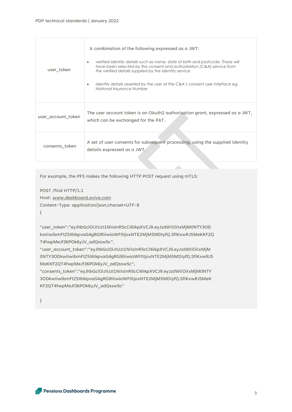| user token         | A combination of the following expressed as a JWT:<br>verified identity details such as name, date of birth and postcode. These will<br>$\bullet$<br>have been selected by the consent and authorisation (C&A) service from<br>the verified details supplied by the identity service<br>identity details asserted by the user at the C&A's consent user interface eg,<br>National Insurance Number |
|--------------------|----------------------------------------------------------------------------------------------------------------------------------------------------------------------------------------------------------------------------------------------------------------------------------------------------------------------------------------------------------------------------------------------------|
| user account token | The user account token is an OAuth2 authorisation grant, expressed as a JWT,<br>which can be exchanged for the PAT.                                                                                                                                                                                                                                                                                |
| consents token     | A set of user consents for subsequent processing, using the supplied identity<br>details expressed as a JWT.                                                                                                                                                                                                                                                                                       |

For example, the PFS makes the following HTTP POST request using mTLS:

POST /find HTTP/1.1 Host: [www.dashboard.aviva.com](http://www.dashboard.aviva.com/)

Content-Type: application/json;charset=UTF-8

{

"user\_token":"eyJhbGciOiJIUzI1NiIsInR5cCI6IkpXVCJ9.eyJzdWIiOiIxMjM0NTY3OD kwIiwibmFtZSI6IkpvaG4gRG9lIiwiaWF0IjoxNTE2MjM5MDIyfQ.SflKxwRJSMeKKF2Q T4fwpMeJf36POk6yJV\_adQssw5c",

"user\_account\_token":"eyJhbGciOiJIUzI1NiIsInR5cCI6IkpXVCJ9.eyJzdWIiOiIxMjM 0NTY3ODkwIiwibmFtZSI6IkpvaG4gRG9lIiwiaWF0IjoxNTE2MjM5MDIyfQ.SflKxwRJS MeKKF2QT4fwpMeJf36POk6yJV\_adQssw5c",

"consents\_token":"eyJhbGciOiJIUzI1NiIsInR5cCI6IkpXVCJ9.eyJzdWIiOiIxMjM0NTY 3ODkwIiwibmFtZSI6IkpvaG4gRG9lIiwiaWF0IjoxNTE2MjM5MDIyfQ.SflKxwRJSMeK KF2QT4fwpMeJf36POk6yJV\_adQssw5c"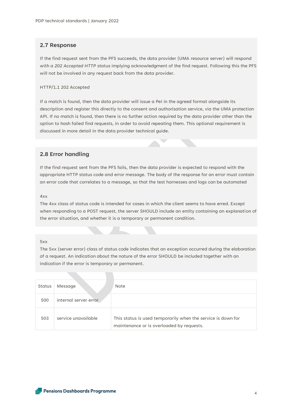#### **2.7 Response**

If the find request sent from the PFS succeeds, the data provider (UMA resource server) will respond with a *202 Accepted HTTP* status implying acknowledgment of the find request. Following this the PFS will not be involved in any request back from the data provider.

#### HTTP/1.1 202 Accepted

If a match is found, then the data provider will issue a PeI in the agreed format alongside its description and register this directly to the consent and authorisation service, via the UMA protection API. If no match is found, then there is no further action required by the data provider other than the option to hash failed find requests, in order to avoid repeating them. This optional requirement is discussed in more detail in the data provider technical guide.

## **2.8 Error handling**

If the find request sent from the PFS fails, then the data provider is expected to respond with the appropriate HTTP status code and error message. The body of the response for an error must contain an error code that correlates to a message, so that the test harnesses and logs can be automated

#### 4xx

The 4xx class of status code is intended for cases in which the client seems to have erred. Except when responding to a POST request, the server SHOULD include an entity containing an explanation of the error situation, and whether it is a temporary or permanent condition.

#### 5xx

The 5xx (server error) class of status code indicates that an exception occurred during the elaboration of a request. An indication about the nature of the error SHOULD be included together with an indication if the error is temporary or permanent.

| Status | Message               | <b>Note</b>                                                                                               |
|--------|-----------------------|-----------------------------------------------------------------------------------------------------------|
| 500    | internal server error |                                                                                                           |
| 503    | service unavailable   | This status is used temporarily when the service is down for<br>maintenance or is overloaded by requests. |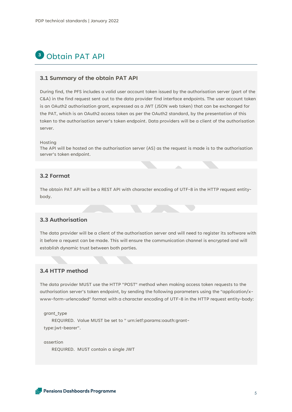# <sup>3</sup> Obtain PAT API

#### **3.1 Summary of the obtain PAT API**

During find, the PFS includes a valid user account token issued by the authorisation server (part of the C&A) in the find request sent out to the data provider find interface endpoints. The user account token is an OAuth2 authorisation grant, expressed as a JWT (JSON web token) that can be exchanged for the PAT, which is an OAuth2 access token as per the OAuth2 standard, by the presentation of this token to the authorisation server's token endpoint. Data providers will be a client of the authorisation server.

#### Hosting

The API will be hosted on the authorisation server (AS) as the request is made is to the authorisation server's token endpoint.

# **3.2 Format**

The obtain PAT API will be a REST API with character encoding of UTF-8 in the HTTP request entitybody.

# **3.3 Authorisation**

The data provider will be a client of the authorisation server and will need to register its software with it before a request can be made. This will ensure the communication channel is encrypted and will establish dynamic trust between both parties.

### **3.4 HTTP method**

The data provider MUST use the HTTP "POST" method when making access token requests to the authorisation server's token endpoint, by sending the following parameters using the "application/xwww-form-urlencoded" format with a character encoding of UTF-8 in the HTTP request entity-body:

grant\_type

 REQUIRED. Value MUST be set to " urn:ietf:params:oauth:grant type:jwt-bearer".

 assertion REQUIRED. MUST contain a single JWT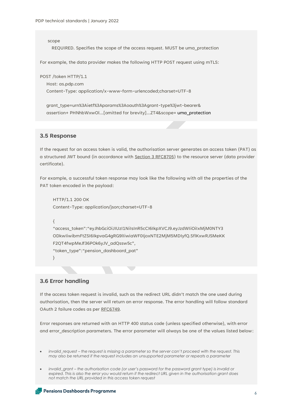scope REQUIRED. Specifies the scope of the access request. MUST be uma\_protection

For example, the data provider makes the following HTTP POST request using mTLS:

POST /token HTTP/1.1

Host: as.pdp.com

Content-Type: application/x-www-form-urlencoded;charset=UTF-8

 grant\_type=urn%3Aietf%3Aparams%3Aoauth%3Agrant-type%3jwt-bearer& assertion+ PHNhbWxwOl...[omitted for brevity]...ZT4&scope= uma\_protection

#### **3.5 Response**

If the request for an access token is valid, the authorisation server generates an access token (PAT) as a structured JWT bound (in accordance with [Section 3 RFC8705\)](https://datatracker.ietf.org/doc/html/rfc8705#section-3) to the resource server (data provider certificate).

For example, a successful token response may look like the following with all the properties of the PAT token encoded in the payload:

HTTP/1.1 200 OK Content-Type: application/json;charset=UTF-8

{

"access\_token":"eyJhbGciOiJIUzI1NiIsInR5cCI6IkpXVCJ9.eyJzdWIiOiIxMjM0NTY3 ODkwIiwibmFtZSI6IkpvaG4gRG9lIiwiaWF0IjoxNTE2MjM5MDIyfQ.SflKxwRJSMeKK F2QT4fwpMeJf36POk6yJV\_adQssw5c", "token\_type":"pension\_dashboard\_pat"

}

#### **3.6 Error handling**

If the access token request is invalid, such as the redirect URL didn't match the one used during authorisation, then the server will return an error response. The error handling will follow standard OAuth 2 failure codes as pe[r RFC6749.](https://datatracker.ietf.org/doc/html/rfc6749#section-5.2)

Error responses are returned with an HTTP 400 status code (unless specified otherwise), with error and error description parameters. The error parameter will always be one of the values listed below:

• *invalid\_request – the request is missing a parameter so the server can't proceed with the request. This may also be returned if the request includes an unsupported parameter or repeats a parameter*

• *invalid\_grant – the authorisation code (or user's password for the password grant type) is invalid or expired. This is also the error you would return if the redirect URL given in the authorisation grant does not match the URL provided in this access token request*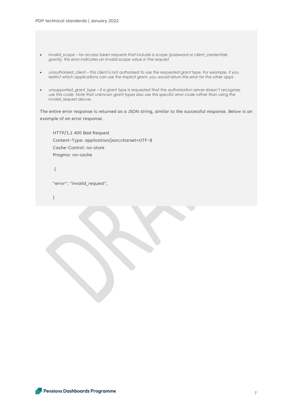- *invalid\_scope – for access token requests that include a scope (password or client\_credentials grants), this error indicates an invalid scope value in the request*
- *unauthorised\_client – this client is not authorised to use the requested grant type. For example, if you restrict which applications can use the Implicit grant, you would return this error for the other apps*
- *unsupported\_grant\_type –* if a grant type is requested that the authorisation server doesn't recognise, *use this code. Note that unknown grant types also use this specific error code rather than using the invalid\_request above.*

The entire error response is returned as a JSON string, similar to the successful response. Below is an example of an error response.

HTTP/1.1 400 Bad Request Content-Type: application/json;charset=UTF-8 Cache-Control: no-store Pragma: no-cache

{

"error": "invalid\_request",

}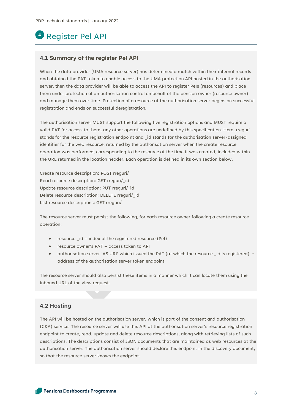# Register Pel API **4**

#### **4.1 Summary of the register Pel API**

When the data provider (UMA resource server) has determined a match within their internal records and obtained the PAT token to enable access to the UMA protection API hosted in the authorisation server, then the data provider will be able to access the API to register PeIs (resources) and place them under protection of an authorisation control on behalf of the pension owner (resource owner) and manage them over time. Protection of a resource at the authorisation server begins on successful registration and ends on successful deregistration.

The authorisation server MUST support the following five registration options and MUST require a valid PAT for access to them; any other operations are undefined by this specification. Here, rreguri stands for the resource registration endpoint and \_id stands for the authorisation server-assigned identifier for the web resource, returned by the authorisation server when the create resource operation was performed, corresponding to the resource at the time it was created, included within the URL returned in the location header. Each operation is defined in its own section below.

Create resource description: POST rreguri/ Read resource description: GET rreguri/\_id Update resource description: PUT rreguri/\_id Delete resource description: DELETE rreguri/\_id List resource descriptions: GET rreguri/

The resource server must persist the following, for each resource owner following a create resource operation:

- resource id index of the registered resource (PeI)
- resource owner's PAT access token to API
- authorisation server 'AS URI' which issued the PAT (at which the resource \_id is registered) address of the authorisation server token endpoint

The resource server should also persist these items in a manner which it can locate them using the inbound URL of the view request.

#### **4.2 Hosting**

The API will be hosted on the authorisation server, which is part of the consent and authorisation (C&A) service. The resource server will use this API at the authorisation server's resource registration endpoint to create, read, update and delete resource descriptions, along with retrieving lists of such descriptions. The descriptions consist of JSON documents that are maintained as web resources at the authorisation server. The authorisation server should declare this endpoint in the discovery document, so that the resource server knows the endpoint.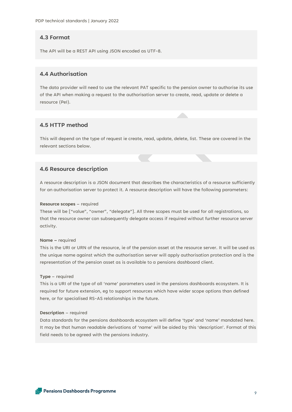## **4.3 Format**

The API will be a REST API using JSON encoded as UTF-8.

# **4.4 Authorisation**

The data provider will need to use the relevant PAT specific to the pension owner to authorise its use of the API when making a request to the authorisation server to create, read, update or delete a resource (PeI).

### **4.5 HTTP method**

This will depend on the type of request ie create, read, update, delete, list. These are covered in the relevant sections below.

## **4.6 Resource description**

A resource description is a JSON document that describes the characteristics of a resource sufficiently for an authorisation server to protect it. A resource description will have the following parameters:

#### **Resource scopes** – required

These will be ["value", "owner", "delegate"]. All three scopes must be used for all registrations, so that the resource owner can subsequently delegate access if required without further resource server activity.

#### **Name –** required

This is the URI or URN of the resource, ie of the pension asset at the resource server. It will be used as the unique name against which the authorisation server will apply authorisation protection and is the representation of the pension asset as is available to a pensions dashboard client.

#### **Type** – required

This is a URI of the type of all 'name' parameters used in the pensions dashboards ecosystem. It is required for future extension, eg to support resources which have wider scope options than defined here, or for specialised RS-AS relationships in the future.

#### **Description** – required

Data standards for the pensions dashboards ecosystem will define 'type' and 'name' mandated here. It may be that human readable derivations of 'name' will be aided by this 'description'. Format of this field needs to be agreed with the pensions industry.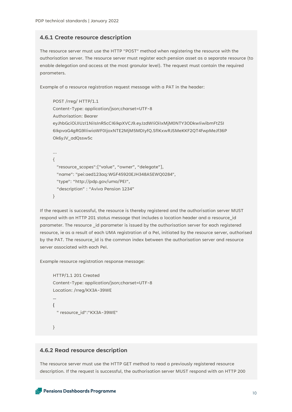#### **4.6.1 Create resource description**

The resource server must use the HTTP "POST" method when registering the resource with the authorisation server. The resource server must register each pension asset as a separate resource (to enable delegation and access at the most granular level). The request must contain the required parameters.

Example of a resource registration request message with a PAT in the header:

```
POST /rreg/ HTTP/1.1
Content-Type: application/json;charset=UTF-8
Authorisation: Bearer
eyJhbGciOiJIUzI1NiIsInR5cCI6IkpXVCJ9.eyJzdWIiOiIxMjM0NTY3ODkwIiwibmFtZSI
6IkpvaG4gRG9lIiwiaWF0IjoxNTE2MjM5MDIyfQ.SflKxwRJSMeKKF2QT4fwpMeJf36P
Ok6vJV_adOssw5c
…
```

```
{
  "resource_scopes":["value", "owner", "delegate"],
  "name": "pei:aed123aq:WGF45920EJH348ASEWQ0284",
  "type": "http://pdp.gov/uma/PEI",
   "description" : "Aviva Pension 1234"
}
```

```
If the request is successful, the resource is thereby registered and the authorisation server MUST 
respond with an HTTP 201 status message that includes a location header and a resource_id 
parameter. The resource _id parameter is issued by the authorisation server for each registered 
resource, ie as a result of each UMA registration of a PeI, initiated by the resource server, authorised 
by the PAT. The resource_id is the common index between the authorisation server and resource 
server associated with each PeI.
```
Example resource registration response message:

```
HTTP/1.1 201 Created
Content-Type: application/json;charset=UTF-8
Location: /rreg/KX3A-39WE
…
{
  " resource_id":"KX3A-39WE"
}
```
## **4.6.2 Read resource description**

The resource server must use the HTTP GET method to read a previously registered resource description. If the request is successful, the authorisation server MUST respond with an HTTP 200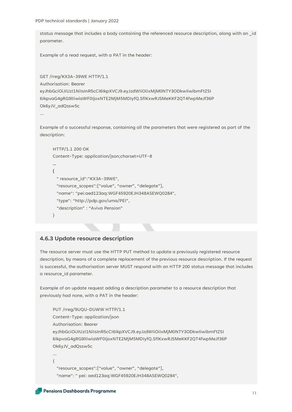status message that includes a body containing the referenced resource description, along with an \_id parameter.

Example of a read request, with a PAT in the header:

```
GET /rreg/KX3A-39WE HTTP/1.1
Authorisation: Bearer
eyJhbGciOiJIUzI1NiIsInR5cCI6IkpXVCJ9.eyJzdWIiOiIxMjM0NTY3ODkwIiwibmFtZSI
6IkpvaG4gRG9lIiwiaWF0IjoxNTE2MjM5MDIyfQ.SflKxwRJSMeKKF2QT4fwpMeJf36P
Ok6yJV_adQssw5c
```
…

Example of a successful response, containing all the parameters that were registered as part of the description:

```
HTTP/1.1 200 OK
Content-Type: application/json;charset=UTF-8
…
{
  " resource_id":"KX3A-39WE",
  "resource_scopes":["value", "owner", "delegate"],
  "name": "pei:aed123aq:WGF45920EJH348ASEWQ0284",
  "type": "http://pdp.gov/uma/PEI",
  "description" : "Aviva Pension"
}
```
# **4.6.3 Update resource description**

The resource server must use the HTTP PUT method to update a previously registered resource description, by means of a complete replacement of the previous resource description. If the request is successful, the authorisation server MUST respond with an HTTP 200 status message that includes a resource\_id parameter.

Example of an update request adding a description parameter to a resource description that previously had none, with a PAT in the header:

```
PUT /rreg/9UQU-DUWW HTTP/1.1
Content-Type: application/json
Authorisation: Bearer
eyJhbGciOiJIUzI1NiIsInR5cCI6IkpXVCJ9.eyJzdWIiOiIxMjM0NTY3ODkwIiwibmFtZSI
6IkpvaG4gRG9lIiwiaWF0IjoxNTE2MjM5MDIyfQ.SflKxwRJSMeKKF2QT4fwpMeJf36P
Ok6vJV_adOssw5c
```

```
…
{
```

```
 "resource_scopes":["value", "owner", "delegate"],
```

```
 "name": " pei: aed123aq:WGF45920EJH348ASEWQ0284",
```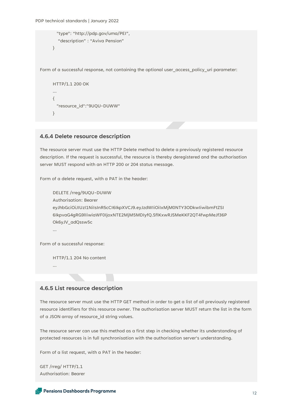```
 "type": "http://pdp.gov/uma/PEI",
   "description" : "Aviva Pension"
}
```
Form of a successful response, not containing the optional user\_access\_policy\_uri parameter:

```
HTTP/1.1 200 OK
…
{
  "resource_id":"9UQU-DUWW"
}
```
# **4.6.4 Delete resource description**

The resource server must use the HTTP Delete method to delete a previously registered resource description. If the request is successful, the resource is thereby deregistered and the authorisation server MUST respond with an HTTP 200 or 204 status message.

Form of a delete request, with a PAT in the header:

```
DELETE /rreg/9UQU-DUWW
Authorisation: Bearer
eyJhbGciOiJIUzI1NiIsInR5cCI6IkpXVCJ9.eyJzdWIiOiIxMjM0NTY3ODkwIiwibmFtZSI
6IkpvaG4gRG9lIiwiaWF0IjoxNTE2MjM5MDIyfQ.SflKxwRJSMeKKF2QT4fwpMeJf36P
Ok6yJV_adQssw5c
…
```
Form of a successful response:

HTTP/1.1 204 No content

…

## **4.6.5 List resource description**

The resource server must use the HTTP GET method in order to get a list of all previously registered resource identifiers for this resource owner. The authorisation server MUST return the list in the form of a JSON array of resource\_id string values.

The resource server can use this method as a first step in checking whether its understanding of protected resources is in full synchronisation with the authorisation server's understanding.

Form of a list request, with a PAT in the header:

GET /rreg/ HTTP/1.1 Authorisation: Bearer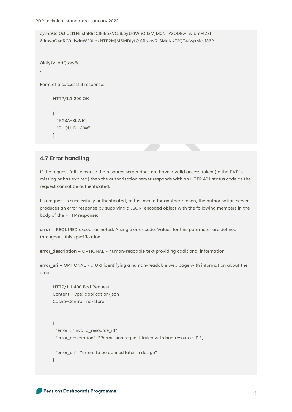eyJhbGciOiJIUzI1NiIsInR5cCI6IkpXVCJ9.eyJzdWIiOiIxMjM0NTY3ODkwIiwibmFtZSI 6IkpvaG4gRG9lIiwiaWF0IjoxNTE2MjM5MDIyfQ.SflKxwRJSMeKKF2QT4fwpMeJf36P

```
Ok6yJV_adQssw5c
…
Form of a successful response:
     HTTP/1.1 200 OK
     …
     [
        "KX3A-39WE",
        "9UQU-DUWW"
     \lceil
```
# **4.7 Error handling**

If the request fails because the resource server does not have a valid access token (ie the PAT is missing or has expired) then the authorisation server responds with an HTTP 401 status code as the request cannot be authenticated.

If a request is successfully authenticated, but is invalid for another reason, the authorisation server produces an error response by supplying a JSON-encoded object with the following members in the body of the HTTP response:

**error** – REQUIRED except as noted. A single error code. Values for this parameter are defined throughout this specification.

**error\_description** – OPTIONAL - human-readable text providing additional information.

**error\_uri –** OPTIONAL - a URI identifying a human-readable web page with information about the error.

```
HTTP/1.1 400 Bad Request
Content-Type: application/json
Cache-Control: no-store
…
{
  "error": "invalid_resource_id",
  "error_description": "Permission request failed with bad resource ID.",
  "error_uri": "errors to be defined later in design"
}
```

```
Pensions Dashboards Programme
```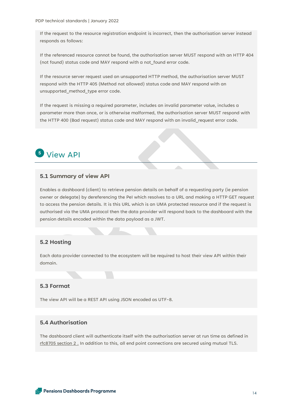If the request to the resource registration endpoint is incorrect, then the authorisation server instead responds as follows:

If the referenced resource cannot be found, the authorisation server MUST respond with an HTTP 404 (not found) status code and MAY respond with a not\_found error code.

If the resource server request used an unsupported HTTP method, the authorisation server MUST respond with the HTTP 405 (Method not allowed) status code and MAY respond with an unsupported\_method\_type error code.

If the request is missing a required parameter, includes an invalid parameter value, includes a parameter more than once, or is otherwise malformed, the authorisation server MUST respond with the HTTP 400 (Bad request) status code and MAY respond with an invalid\_request error code.

# **5** View API

## **5.1 Summary of view API**

Enables a dashboard (client) to retrieve pension details on behalf of a requesting party (ie pension owner or delegate) by dereferencing the PeI which resolves to a URL and making a HTTP GET request to access the pension details. It is this URL which is an UMA protected resource and if the request is authorised via the UMA protocol then the data provider will respond back to the dashboard with the pension details encoded within the data payload as a JWT.

## **5.2 Hosting**

Each data provider connected to the ecosystem will be required to host their view API within their domain.

# **5.3 Format**

The view API will be a REST API using JSON encoded as UTF-8.

# **5.4 Authorisation**

The dashboard client will authenticate itself with the authorisation server at run time as defined in [rfc8705 section 2 .](https://datatracker.ietf.org/doc/html/rfc8705#section-2) In addition to this, all end point connections are secured using mutual TLS.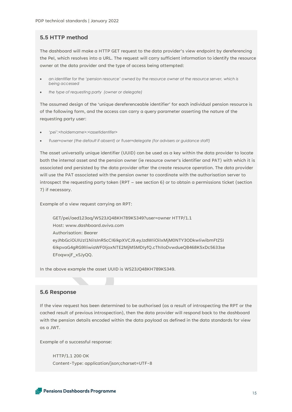## **5.5 HTTP method**

The dashboard will make a HTTP GET request to the data provider's view endpoint by dereferencing the PeI, which resolves into a URL. The request will carry sufficient information to identify the resource owner at the data provider and the type of access being attempted:

- *an identifier for the 'pension resource' owned by the resource owner at the resource server, which is being accessed*
- *the type of requesting party (owner or delegate)*

The assumed design of the 'unique dereferenceable identifier' for each individual pension resource is of the following form, and the access can carry a query parameter asserting the nature of the requesting party user:

- *'pei':<holdername>:<assetidentifer>*
- *?user=owner (the default if absent) or ?user=delegate (for advisers or guidance staff)*

The asset universally unique identifier (UUID) can be used as a key within the data provider to locate both the internal asset and the pension owner (ie resource owner's identifier and PAT) with which it is associated and persisted by the data provider after the create resource operation. The data provider will use the PAT associated with the pension owner to coordinate with the authorisation server to introspect the requesting party token (RPT – see section 6) or to obtain a permissions ticket (section 7) if necessary.

Example of a view request carrying an RPT:

GET/pei/aed123aq/WS23JQ48KH789KS349?user=owner HTTP/1.1 Host: www.dashboard.aviva.com Authorisation: Bearer eyJhbGciOiJIUzI1NiIsInR5cCI6IkpXVCJ9.eyJzdWIiOiIxMjM0NTY3ODkwIiwibmFtZSI 6IkpvaG4gRG9lIiwiaWF0IjoxNTE2MjM5MDIyfQ.cThIIoDvwdueQB468K5xDc5633se EFoqwxjF\_xSJyQQ.

In the above example the asset UUID is WS23JQ48KH789KS349.

#### **5.6 Response**

If the view request has been determined to be authorised (as a result of introspecting the RPT or the cached result of previous introspection), then the data provider will respond back to the dashboard with the pension details encoded within the data payload as defined in the data standards for view as a JWT.

Example of a successful response:

HTTP/1.1 200 OK Content-Type: application/json;charset=UTF-8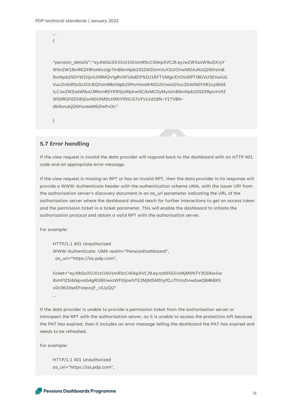{

"pension\_details":"eyJhbGciOiJIUzI1NiIsInR5cCI6IkpXVCJ9.eyJwZW5zaW9uQXJyY W5nZW1lbnREZXRhaWxzIjp7InBlbnNpb25SZWZlcmVuY2UiOiIwMDAzNzQ2MiIsInB lbnNpb25OYW1lIjoiU09MQVIgRU5FUkdZIFNZU1RFTVMgUEVOU0lPTiBGVU5EIiwicG Vuc2lvblR5cGUiOiJEQiIsInBlbnNpb25PcmlnaW4iOiJXIiwicGVuc2lvblN0YXR1cyI6IkE iLCJwZW5zaW9uU3RhcnREYXRlIjoiMjAwNC0xMC0yMyIsInBlbnNpb25SZXRpcmVtZ W50RGF0ZSI6IjIwNDUtMDctMDYifX0.G7oYVo1d18N-Y1TVBNdb9oruAjQNHureeM62hsPvOc"

}

## **5.7 Error handling**

If the view request is invalid the data provider will respond back to the dashboard with an HTTP 401 code and an appropriate error message.

If the view request is missing an RPT or has an invalid RPT, then the data provider in its response will provide a WWW-Authenticate header with the authentication scheme UMA, with the issuer URI from the authorisation server's discovery document in an as\_uri parameter indicating the URL of the authorisation server where the dashboard should reach for further interactions to get an access token and the permission ticket in a ticket parameter. This will enable the dashboard to initiate the authorisation protocol and obtain a valid RPT with the authorisation server.

For example:

HTTP/1.1 401 Unauthorized WWW-Authenticate: UMA realm="PensionDashboard", as\_uri="https://as.pdp.com",

ticket="eyJhbGciOiJIUzI1NiIsInR5cCI6IkpXVCJ9.eyJzdWIiOiIxMjM0NTY3ODkwIiw ibmFtZSI6IkpvaG4gRG9lIiwiaWF0IjoxNTE2MjM5MDIyfQ.cThIIoDvwdueQB468K5 xDc5633seEFoqwxjF\_xSJyQQ"

…

If the data provider is unable to provide a permission ticket from the authorisation server or introspect the RPT with the authorisation server, as it is unable to access the protection API because the PAT has expired, then it includes an error message telling the dashboard the PAT has expired and needs to be refreshed.

For example:

HTTP/1.1 401 Unauthorized as\_uri="https://as.pdp.com",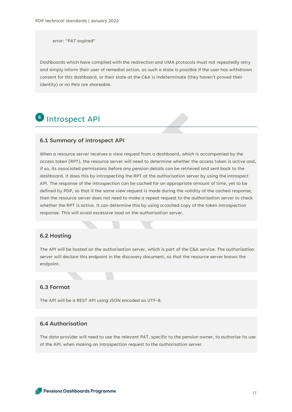error: "PAT expired"

Dashboards which have complied with the redirection and UMA protocols must not repeatedly retry and simply inform their user of remedial action, as such a state is possible if the user has withdrawn consent for this dashboard, or their state at the C&A is indeterminate (they haven't proved their identity) or no PeIs are shareable.

# **6** Introspect API

#### **6.1 Summary of introspect API**

When a resource server receives a view request from a dashboard, which is accompanied by the access token (RPT), the resource server will need to determine whether the access token is active and, if so, its associated permissions before any pension details can be retrieved and sent back to the dashboard. It does this by introspecting the RPT at the authorisation server by using the introspect API. The response of the introspection can be cached for an appropriate amount of time, yet to be defined by PDP, so that if the same view request is made during the validity of the cached response, then the resource server does not need to make a repeat request to the authorisation server to check whether the RPT is active. It can determine this by using a cached copy of the token introspection response. This will avoid excessive load on the authorisation server.

## **6.2 Hosting**

The API will be hosted on the authorisation server, which is part of the C&A service. The authorisation server will declare this endpoint in the discovery document, so that the resource server knows the endpoint.

## **6.3 Format**

The API will be a REST API using JSON encoded as UTF-8.

# **6.4 Authorisation**

The data provider will need to use the relevant PAT, specific to the pension owner, to authorise its use of the API, when making an introspection request to the authorisation server.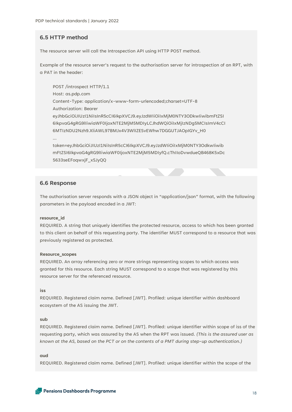# **6.5 HTTP method**

The resource server will call the Introspection API using HTTP POST method.

Example of the resource server's request to the authorisation server for introspection of an RPT, with a PAT in the header:

POST /introspect HTTP/1.1 Host: as.pdp.com Content-Type: application/x-www-form-urlencoded;charset=UTF-8 Authorization: Bearer eyJhbGciOiJIUzI1NiIsInR5cCI6IkpXVCJ9.eyJzdWIiOiIxMjM0NTY3ODkwIiwibmFtZSI 6IkpvaG4gRG9lIiwiaWF0IjoxNTE2MjM5MDIyLCJhdWQiOiIxMjIzNDg5MCIsImV4cCI 6MTIzNDU2Nzh9.XliAWL97BMJx4V3WlIZESvEWhw7DGGUTJAOpIGYv\_H0 … token=eyJhbGciOiJIUzI1NiIsInR5cCI6IkpXVCJ9.eyJzdWIiOiIxMjM0NTY3OdkwIiwib mFtZSI6IkpvaG4gRG9lIiwiaWF0IjoxNTE2MjM5MDIyfQ.cThIIoDvwdueQB468K5xDc

5633seEFoqwxjF\_xSJyQQ

#### **6.6 Response**

The authorisation server responds with a JSON object in "application/json" format, with the following parameters in the payload encoded in a JWT:

#### **resource\_id**

REQUIRED. A string that uniquely identifies the protected resource, access to which has been granted to this client on behalf of this requesting party. The identifier MUST correspond to a resource that was previously registered as protected.

#### **Resource\_scopes**

REQUIRED. An array referencing zero or more strings representing scopes to which access was granted for this resource. Each string MUST correspond to a scope that was registered by this resource server for the referenced resource.

#### **iss**

REQUIRED. Registered claim name. Defined [JWT]. Profiled: unique identifier within dashboard ecosystem of the AS issuing the JWT.

#### **sub**

REQUIRED. Registered claim name. Defined [JWT]. Profiled: unique identifier within scope of iss of the requesting party, which was assured by the AS when the RPT was issued. *(This is the assured user as known at the AS, based on the PCT or on the contents of a PMT during step-up authentication.)*

#### **aud**

REQUIRED. Registered claim name. Defined [JWT]. Profiled: unique identifier within the scope of the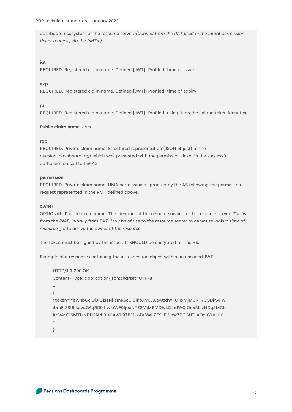dashboard ecosystem of the resource server. *(Derived from the PAT used in the initial permission ticket request, via the PMTs.)*

#### **iat**

REQUIRED. Registered claim name. Defined [JWT]. Profiled: time of issue.

#### **exp**

REQUIRED. Registered claim name. Defined [JWT]. Profiled: time of expiry.

#### **jti**

REQUIRED. Registered claim name. Defined [JWT]. Profiled: using jti as the unique token identifier.

#### **Public claim name**. *none*

#### **rqp**

REQUIRED. Private claim name. Structured representation (JSON object) of the *pension\_dashboard\_rqp* which was presented with the permission ticket in the successful authorisation call to the AS.

#### **permission**

REQUIRED. Private claim name. UMA permission as granted by the AS following the permission request represented in the PMT defined above.

#### **owner**

OPTIONAL. Private claim name. The identifier of the resource owner at the resource server. *This is from the PMT, initially from PAT. May be of use to the resource server to minimise lookup time of resource \_id to derive the owner of the resource.*

The token must be signed by the issuer. It SHOULD be encrypted for the RS.

Example of a response containing the introspection object within an encoded JWT:

```
HTTP/1.1 200 OK
Content-Type: application/json;charset=UTF-8
…
{
"token":"eyJhbGciOiJIUzI1NiIsInR5cCI6IkpXVCJ9.eyJzdWIiOiIxMjM0NTY3ODkwIiw
ibmFtZSI6IkpvaG4gRG9lIiwiaWF0IjoxNTE2MjM5MDIyLCJhdWQiOiIxMjIzNDg5MCIs
ImV4cCI6MTIzNDU2Nzh9.XliAWL97BMJx4V3WlIZESvEWhw7DGGUTJAOpIGYv_H0
"
```
**}**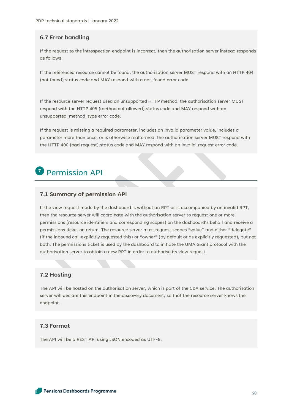# **6.7 Error handling**

If the request to the introspection endpoint is incorrect, then the authorisation server instead responds as follows:

If the referenced resource cannot be found, the authorisation server MUST respond with an HTTP 404 (not found) status code and MAY respond with a not found error code.

If the resource server request used an unsupported HTTP method, the authorisation server MUST respond with the HTTP 405 (method not allowed) status code and MAY respond with an unsupported\_method\_type error code.

If the request is missing a required parameter, includes an invalid parameter value, includes a parameter more than once, or is otherwise malformed, the authorisation server MUST respond with the HTTP 400 (bad request) status code and MAY respond with an invalid request error code.

# **7** Permission API

# **7.1 Summary of permission API**

If the view request made by the dashboard is without an RPT or is accompanied by an invalid RPT, then the resource server will coordinate with the authorisation server to request one or more permissions (resource identifiers and corresponding scopes) on the dashboard's behalf and receive a permissions ticket on return. The resource server must request scopes "value" and either "delegate" (if the inbound call explicitly requested this) or "owner" (by default or as explicitly requested), but not both. The permissions ticket is used by the dashboard to initiate the UMA Grant protocol with the authorisation server to obtain a new RPT in order to authorise its view request.

## **7.2 Hosting**

The API will be hosted on the authorisation server, which is part of the C&A service. The authorisation server will declare this endpoint in the discovery document, so that the resource server knows the endpoint.

# **7.3 Format**

The API will be a REST API using JSON encoded as UTF-8.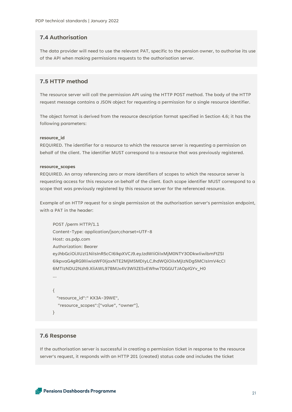# **7.4 Authorisation**

The data provider will need to use the relevant PAT, specific to the pension owner, to authorise its use of the API when making permissions requests to the authorisation server.

# **7.5 HTTP method**

The resource server will call the permission API using the HTTP POST method. The body of the HTTP request message contains a JSON object for requesting a permission for a single resource identifier.

The object format is derived from the resource description format specified in Section 4.6; it has the following parameters:

#### **resource\_id**

REQUIRED. The identifier for a resource to which the resource server is requesting a permission on behalf of the client. The identifier MUST correspond to a resource that was previously registered.

#### **resource\_scopes**

REQUIRED. An array referencing zero or more identifiers of scopes to which the resource server is requesting access for this resource on behalf of the client. Each scope identifier MUST correspond to a scope that was previously registered by this resource server for the referenced resource.

Example of an HTTP request for a single permission at the authorisation server's permission endpoint, with a PAT in the header:

```
POST /perm HTTP/1.1
Content-Type: application/json;charset=UTF-8
Host: as.pdp.com
Authorization: Bearer
eyJhbGciOiJIUzI1NiIsInR5cCI6IkpXVCJ9.eyJzdWIiOiIxMjM0NTY3ODkwIiwibmFtZSI
6IkpvaG4gRG9lIiwiaWF0IjoxNTE2MjM5MDIyLCJhdWQiOiIxMjIzNDg5MCIsImV4cCI
6MTIzNDU2Nzh9.XliAWL97BMJx4V3WlIZESvEWhw7DGGUTJAOpIGYv_H0
…
{
  "resource_id":" KX3A-39WE",
   "resource_scopes":["value", "owner"],
```
#### **7.6 Response**

}

If the authorisation server is successful in creating a permission ticket in response to the resource server's request, it responds with an HTTP 201 (created) status code and includes the ticket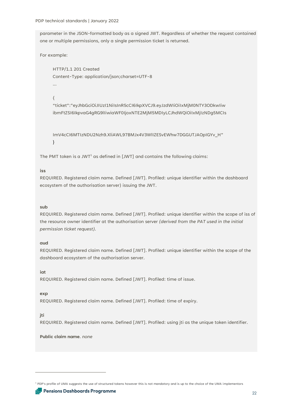PDP technical standards | January 2022

parameter in the JSON-formatted body as a signed JWT. Regardless of whether the request contained one or multiple permissions, only a single permission ticket is returned.

For example:

HTTP/1.1 201 Created Content-Type: application/json;charset=UTF-8 …

{

"ticket":"eyJhbGciOiJIUzI1NiIsInR5cCI6IkpXVCJ9.eyJzdWIiOiIxMjM0NTY3ODkwIiw ibmFtZSI6IkpvaG4gRG9lIiwiaWF0IjoxNTE2MjM5MDIyLCJhdWQiOiIxMjIzNDg5MCIs

ImV4cCI6MTIzNDU2Nzh9.XliAWL97BMJx4V3WlIZESvEWhw7DGGUTJAOpIGYv\_H" }

The PMT token is a JWT<sup>1</sup> as defined in [JWT] and contains the following claims:

#### **iss**

REQUIRED. Registered claim name. Defined [JWT]. Profiled: unique identifier within the dashboard ecosystem of the authorisation server) issuing the JWT.

#### **sub**

REQUIRED. Registered claim name. Defined [JWT]. Profiled: unique identifier within the scope of iss of the resource owner identifier at the authorisation server *(derived from the PAT used in the initial permission ticket request).*

#### **aud**

REQUIRED. Registered claim name. Defined [JWT]. Profiled: unique identifier within the scope of the dashboard ecosystem of the authorisation server.

**iat**

REQUIRED. Registered claim name. Defined [JWT]. Profiled: time of issue.

#### **exp**

REQUIRED. Registered claim name. Defined [JWT]. Profiled: time of expiry.

#### **jti**

REQUIRED. Registered claim name. Defined [JWT]. Profiled: using jti as the unique token identifier.

**Public claim name**. *none*

<sup>&</sup>lt;sup>1</sup> PDP's profile of UMA suggests the use of structured tokens however this is not mandatory and is up to the choice of the UMA implementors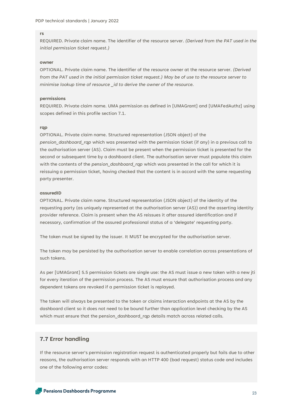#### **rs**

REQUIRED. Private claim name. The identifier of the resource server. *(Derived from the PAT used in the initial permission ticket request.)*

#### **owner**

OPTIONAL. Private claim name. The identifier of the resource owner at the resource server. *(Derived from the PAT used in the initial permission ticket request.) May be of use to the resource server to minimise lookup time of resource \_id to derive the owner of the resource.*

#### **permissions**

REQUIRED. Private claim name. UMA permission as defined in [UMAGrant] and [UMAFedAuthz] using scopes defined in this profile section 7.1.

#### **rqp**

OPTIONAL. Private claim name. Structured representation (JSON object) of the *pension\_dashboard\_rqp* which was presented with the permission ticket (if any) in a previous call to the authorisation server (AS). Claim must be present when the permission ticket is presented for the second or subsequent time by a dashboard client. The authorisation server must populate this claim with the contents of the *pension* dashboard rap which was presented in the call for which it is reissuing a permission ticket, having checked that the content is in accord with the same requesting party presenter.

#### **assuredID**

OPTIONAL. Private claim name. Structured representation (JSON object) of the identity of the requesting party (as uniquely represented at the authorisation server (AS)) and the asserting identity provider reference. Claim is present when the AS reissues it after assured identification and if necessary, confirmation of the assured professional status of a 'delegate' requesting party.

The token must be signed by the issuer. It MUST be encrypted for the authorisation server.

The token may be persisted by the authorisation server to enable correlation across presentations of such tokens.

As per [UMAGrant] 5.5 permission tickets are single use: the AS must issue a new token with a new jti for every iteration of the permission process. The AS must ensure that authorisation process and any dependent tokens are revoked if a permission ticket is replayed.

The token will always be presented to the token or claims interaction endpoints at the AS by the dashboard client so it does not need to be bound further than application level checking by the AS which must ensure that the pension\_dashboard\_rqp details match across related calls.

#### **7.7 Error handling**

If the resource server's permission registration request is authenticated properly but fails due to other reasons, the authorisation server responds with an HTTP 400 (bad request) status code and includes one of the following error codes: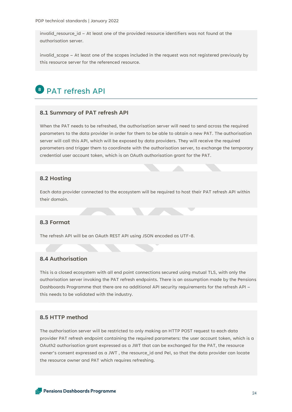invalid\_resource\_id – At least one of the provided resource identifiers was not found at the authorisation server.

invalid\_scope – At least one of the scopes included in the request was not registered previously by this resource server for the referenced resource.

# PAT refresh API **8**

#### **8.1 Summary of PAT refresh API**

When the PAT needs to be refreshed, the authorisation server will need to send across the required parameters to the data provider in order for them to be able to obtain a new PAT. The authorisation server will call this API, which will be exposed by data providers. They will receive the required parameters and trigger them to coordinate with the authorisation server, to exchange the temporary credential user account token, which is an OAuth authorisation grant for the PAT.

#### **8.2 Hosting**

Each data provider connected to the ecosystem will be required to host their PAT refresh API within their domain.

#### **8.3 Format**

The refresh API will be an OAuth REST API using JSON encoded as UTF-8.

# **8.4 Authorisation**

This is a closed ecosystem with all end point connections secured using mutual TLS, with only the authorisation server invoking the PAT refresh endpoints. There is an assumption made by the Pensions Dashboards Programme that there are no additional API security requirements for the refresh API – this needs to be validated with the industry.

#### **8.5 HTTP method**

The authorisation server will be restricted to only making an HTTP POST request to each data provider PAT refresh endpoint containing the required parameters: the user account token, which is a OAuth2 authorisation grant expressed as a JWT that can be exchanged for the PAT, the resource owner's consent expressed as a JWT , the resource\_id and PeI, so that the data provider can locate the resource owner and PAT which requires refreshing.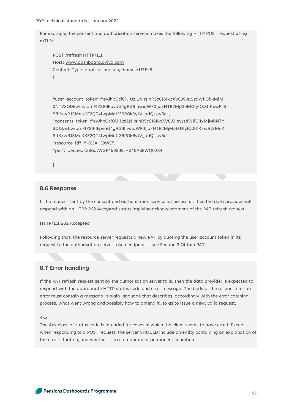PDP technical standards | January 2022

For example, the consent and authorisation service makes the following HTTP POST request using mTLS:

```
POST /refresh HTTP/1.1
Host: www.dashboard.aviva.com
Content-Type: application/json;charset=UTF-8
{
```
"user\_account\_token":"eyJhbGciOiJIUzI1NiIsInR5cCI6IkpXVCJ9.eyJzdWIiOiIxMjM 0NTY3ODkwIiwibmFtZSI6IkpvaG4gRG9lIiwiaWF0IjoxNTE2MjM5MDIyfQ.SflKxwRJS SflKxwRJSMeKKF2QT4fwpMeJf36POk6yJV\_adQssw5c", "consents\_token":"eyJhbGciOiJIUzI1NiIsInR5cCI6IkpXVCJ9.eyJzdWIiOiIxMjM0NTY 3ODkwIiwibmFtZSI6IkpvaG4gRG9lIiwiaWF0IjoxNTE2MjM5MDIyfQ.SflKxwRJSMeK

```
SflKxwRJSMeKKF2QT4fwpMeJf36POk6yJV_adQssw5c",
"resource_id": "KX3A-39WE",
```
"pei":"pei:aed123aq:WGF45920EJH348ASEWQ0284"

}

#### **8.6 Response**

If the request sent by the consent and authorisation service is successful, then the data provider will respond with an HTPP *202 Accepted* status implying acknowledgment of the PAT refresh request.

HTTP/1.1 202 Accepted

Following that, the resource server requests a new PAT by quoting the user account token in its request to the authorisation server token endpoint – see Section 3 Obtain PAT.

# **8.7 Error handling**

If the PAT refresh request sent by the authorisation server fails, then the data provider is expected to respond with the appropriate HTTP status code and error message. The body of the response for an error must contain a message in plain language that describes, accordingly with the error catching process, what went wrong and possibly how to amend it, so as to issue a new, valid request.

4xx

The 4xx class of status code is intended for cases in which the client seems to have erred. Except when responding to a POST request, the server SHOULD include an entity containing an explanation of the error situation, and whether it is a temporary or permanent condition.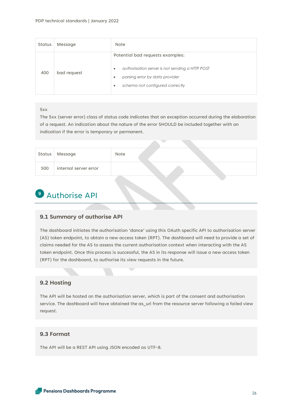| Status | Message     | Note                                                                                                                                                                                            |
|--------|-------------|-------------------------------------------------------------------------------------------------------------------------------------------------------------------------------------------------|
| 400    | bad request | Potential bad requests examples:<br>authorisation server is not sending a HTTP POST<br>$\bullet$<br>parsing error by data provider<br>$\bullet$<br>schema not configured correctly<br>$\bullet$ |

#### 5xx

The 5xx (server error) class of status code indicates that an exception occurred during the elaboration of a request. An indication about the nature of the error SHOULD be included together with an indication if the error is temporary or permanent.

|     | Status Message        | Note |  |
|-----|-----------------------|------|--|
| 500 | internal server error |      |  |
|     |                       |      |  |

# **9** Authorise API

## **9.1 Summary of authorise API**

The dashboard initiates the authorisation 'dance' using this OAuth specific API to authorisation server (AS) token endpoint, to obtain a new access token (RPT). The dashboard will need to provide a set of claims needed for the AS to assess the current authorisation context when interacting with the AS token endpoint. Once this process is successful, the AS in its response will issue a new access token (RPT) for the dashboard, to authorise its view requests in the future.

# **9.2 Hosting**

The API will be hosted on the authorisation server, which is part of the consent and authorisation service. The dashboard will have obtained the as\_uri from the resource server following a failed view request.

## **9.3 Format**

The API will be a REST API using JSON encoded as UTF-8.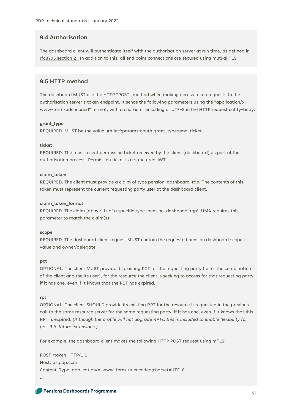# **9.4 Authorisation**

The dashboard client will authenticate itself with the authorisation server at run time, as defined in [rfc8705 section 2 .](https://datatracker.ietf.org/doc/html/rfc8705#section-2) In addition to this, all end point connections are secured using mutual TLS.

#### **9.5 HTTP method**

The dashboard MUST use the HTTP "POST" method when making access token requests to the authorisation server's token endpoint. It sends the following parameters using the "application/xwww-form-urlencoded" format, with a character encoding of UTF-8 in the HTTP request entity-body:

#### **grant\_type**

REQUIRED. MUST be the value urn:ietf:params:oauth:grant-type:uma-ticket.

#### **ticket**

REQUIRED. The most recent permission ticket received by the client (dashboard) as part of this authorisation process. Permission ticket is a structured JWT.

#### **claim\_token**

REQUIRED. The client must provide a claim of type pension\_dashboard\_rqp. The contents of this token must represent the current requesting party user at the dashboard client.

#### **claim\_token\_format**

REQUIRED. The claim (above) is of a specific type 'pension\_dashboad\_rqp'. UMA requires this parameter to match the claim(s).

#### **scope**

REQUIRED. The dashboard client request MUST contain the requested pension dashboard scopes: value and owner/delegate

#### **pct**

OPTIONAL. The client MUST provide its existing PCT for the requesting party (ie for the combination of the client and the its user), for the resource the client is seeking to access for that requesting party, if it has one, even if it knows that the PCT has expired.

#### **rpt**

OPTIONAL. The client SHOULD provide its existing RPT for the resource it requested in the previous call to the same resource server for the same requesting party, if it has one, even if it knows that this RPT is expired. *(Although the profile will not upgrade RPTs, this is included to enable flexibility for possible future extensions.)*

For example, the dashboard client makes the following HTTP POST request using mTLS:

POST /token HTTP/1.1 Host: as.pdp.com Content-Type: application/x-www-form-urlencoded;charset=UTF-8 …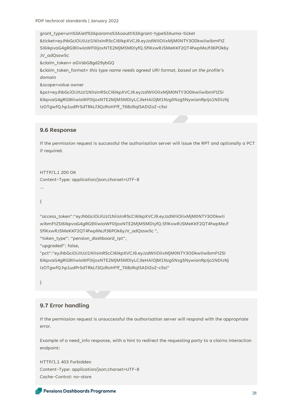PDP technical standards | January 2022

grant\_type=urn%3Aietf%3Aparams%3Aoauth%3Agrant-type%3Auma-ticket &ticket=eyJhbGciOiJIUzI1NiIsInR5cCI6IkpXVCJ9.eyJzdWIiOiIxMjM0NTY3ODkwIiwibmFtZ SI6IkpvaG4gRG9lIiwiaWF0IjoxNTE2MjM5MDIyfQ.SflKxwRJSMeKKF2QT4fwpMeJf36POk6y JV\_adQssw5c &claim\_token= aGVsbG8gd29ybGQ &claim\_token\_format= *this type name needs agreed URI format, based on the profile's domain* &scope=value owner

&pct=eyJhbGciOiJIUzI1NiIsInR5cCI6IkpXVCJ9.eyJzdWIiOiIxMjM0NTY3ODkwIiwibmFtZSI 6IkpvaG4gRG9lIiwiaWF0IjoxNTE2MjM5MDIyLCJleHAiOjM1Nzg5Nzg5NywianRpIjo1NDIzNj IzOTgwfQ.hp1udPrSdTRkLf3QzRoHFff\_T6BzRqlSADIZoZ-c5sI

#### **9.6 Response**

If the permission request is successful the authorisation server will issue the RPT and optionally a PCT if required.

HTTP/1.1 200 OK Content-Type: application/json;charset=UTF-8 …

{

"access\_token":"eyJhbGciOiJIUzI1NiIsInR5cCI6IkpXVCJ9.eyJzdWIiOiIxMjM0NTY3ODkwIi wibmFtZSI6IkpvaG4gRG9lIiwiaWF0IjoxNTE2MjM5MDIyfQ.SflKxwRJSMeKKF2QT4fwpMeJf SflKxwRJSMeKKF2QT4fwpMeJf36POk6yJV\_adQssw5c ",

"token\_type": "pension\_dashboard\_rpt",

"upgraded": false,

"pct":"eyJhbGciOiJIUzI1NiIsInR5cCI6IkpXVCJ9.eyJzdWIiOiIxMjM0NTY3ODkwIiwibmFtZSI 6IkpvaG4gRG9lIiwiaWF0IjoxNTE2MjM5MDIyLCJleHAiOjM1Nzg5Nzg5NywianRpIjo1NDIzNj IzOTgwfQ.hp1udPrSdTRkLf3QzRoHFff\_T6BzRqlSADIZoZ-c5sI"

}

#### **9.7 Error handling**

If the permission request is unsuccessful the authorisation server will respond with the appropriate error.

Example of a need\_info response, with a hint to redirect the requesting party to a claims interaction endpoint:

HTTP/1.1 403 Forbidden Content-Type: application/json;charset=UTF-8 Cache-Control: no-store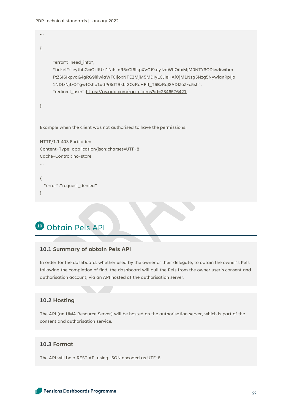{

…

```
"error":"need_info",
     "ticket":"eyJhbGciOiJIUzI1NiIsInR5cCI6IkpXVCJ9.eyJzdWIiOiIxMjM0NTY3ODkwIiwibm
     FtZSI6IkpvaG4gRG9lIiwiaWF0IjoxNTE2MjM5MDIyLCJleHAiOjM1Nzg5Nzg5NywianRpIjo
     1NDIzNjIzOTgwfQ.hp1udPrSdTRkLf3QzRoHFff_T6BzRqlSADIZoZ-c5sI ",
     "redirect_user":https://as.pdp.com/rqp_claims?id=2346576421
}
Example when the client was not authorised to have the permissions:
HTTP/1.1 403 Forbidden
Content-Type: application/json;charset=UTF-8
Cache-Control: no-store
…
{
   "error":"request_denied"
}
```
# Obtain Pels API **10**

# **10.1 Summary of obtain PeIs API**

In order for the dashboard, whether used by the owner or their delegate, to obtain the owner's PeIs following the completion of find, the dashboard will pull the PeIs from the owner user's consent and authorisation account, via an API hosted at the authorisation server.

## **10.2 Hosting**

The API (an UMA Resource Server) will be hosted on the authorisation server, which is part of the consent and authorisation service.

# **10.3 Format**

The API will be a REST API using JSON encoded as UTF-8.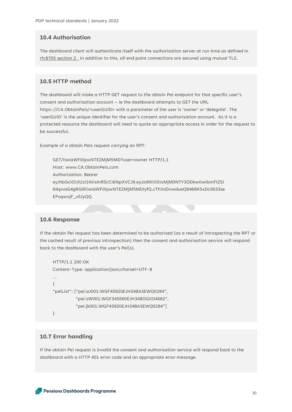# **10.4 Authorisation**

The dashboard client will authenticate itself with the authorisation server at run time as defined in [rfc8705 section 2 .](https://datatracker.ietf.org/doc/html/rfc8705#section-2) In addition to this, all end point connections are secured using mutual TLS.

#### **10.5 HTTP method**

The dashboard will make a HTTP GET request to the obtain PeI endpoint for that specific user's consent and authorisation account – ie the dashboard attempts to GET the URL https:://CA.ObtainPeIs/<userGUID> with a parameter of the user is 'owner' or 'delegate'. The 'userGUID' is the unique identifier for the user's consent and authorisation account. As it is a protected resource the dashboard will need to quote an appropriate access in order for the request to be successful.

Example of a obtain PeIs request carrying an RPT:

GET/IiwiaWF0IjoxNTE2MjM5MD?user=owner HTTP/1.1 Host: www.CA.ObtainPeIs.com Authorization: Bearer eyJhbGciOiJIUzI1NiIsInR5cCI6IkpXVCJ9.eyJzdWIiOiIxMjM0NTY3ODkwIiwibmFtZSI 6IkpvaG4gRG9lIiwiaWF0IjoxNTE2MjM5MDIyfQ.cThIIoDvwdueQB468K5xDc5633se EFoqwxjF\_xSJyQQ.

#### **10.6 Response**

If the obtain PeI request has been determined to be authorised (as a result of introspecting the RPT or the cached result of previous introspection) then the consent and authorisation service will respond back to the dashboard with the user's PeI(s).

```
HTTP/1.1 200 OK
Content-Type: application/json;charset=UTF-8
…
{
"peiList": ["pei:aJ001:WGF45920EJH348ASEWQ0284",
          "pei:sW001:WGF345560EJH348OGIIO4682",
          "pei:jk001:WGF45920EJH348ASEWQ0284"]
}
```
# **10.7 Error handling**

If the obtain PeI request is invalid the consent and authorisation service will respond back to the dashboard with a HTTP 401 error code and an appropriate error message.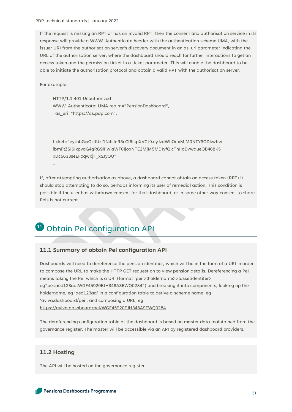PDP technical standards | January 2022

If the request is missing an RPT or has an invalid RPT, then the consent and authorisation service in its response will provide a WWW-Authenticate header with the authentication scheme UMA, with the issuer URI from the authorisation server's discovery document in an as uri parameter indicating the URL of the authorisation server, where the dashboard should reach for further interactions to get an access token and the permission ticket in a ticket parameter. This will enable the dashboard to be able to initiate the authorisation protocol and obtain a valid RPT with the authorisation server.

For example:

HTTP/1.1 401 Unauthorized WWW-Authenticate: UMA realm="PensionDashboard", as\_uri="https://as.pdp.com",

ticket="eyJhbGciOiJIUzI1NiIsInR5cCI6IkpXVCJ9.eyJzdWIiOiIxMjM0NTY3ODkwIiw ibmFtZSI6IkpvaG4gRG9lIiwiaWF0IjoxNTE2MjM5MDIyfQ.cThIIoDvwdueQB468K5 xDc5633seEFoqwxjF\_xSJyQQ"

…

If, after attempting authorisation as above, a dashboard cannot obtain an access token (RPT) it should stop attempting to do so, perhaps informing its user of remedial action. This condition is possible if the user has withdrawn consent for that dashboard, or in some other way consent to share PeIs is not current.

# **11** Obtain Pel configuration API

# **11.1 Summary of obtain PeI configuration API**

Dashboards will need to dereference the pension identifier, which will be in the form of a URI in order to compose the URL to make the HTTP GET request on to view pension details. Dereferencing a PeI means taking the PeI which is a URI (format 'pei':<holdername>:<assetidentifer> eg"pei:aed123aq:WGF45920EJH348ASEWQ0284") and breaking it into components, looking up the holdername, eg 'aed123aq' in a configuration table to derive a scheme name, eg 'aviva.dashboard/pei', and composing a URL, eg [https://aviva.dashboard/pei/WGF45920EJH348ASEWQ0284.](https://aviva.dashboard/pei/WGF45920EJH348ASEWQ0284)

The dereferencing configuration table at the dashboard is based on master data maintained from the governance register. The master will be accessible via an API by registered dashboard providers.

# **11.2 Hosting**

The API will be hosted on the governance register.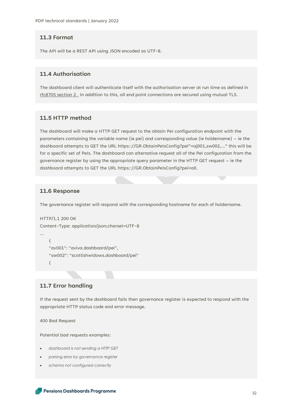#### **11.3 Format**

The API will be a REST API using JSON encoded as UTF-8.

# **11.4 Authorisation**

The dashboard client will authenticate itself with the authorisation server at run time as defined in [rfc8705 section 2 .](https://datatracker.ietf.org/doc/html/rfc8705#section-2) In addition to this, all end point connections are secured using mutual TLS.

# **11.5 HTTP method**

The dashboard will make a HTTP GET request to the obtain PeI configuration endpoint with the parameters containing the variable name (ie pei) and corresponding value (ie holdername) – ie the dashboard attempts to GET the URL https:://GR.ObtainPeIsConfig?pei"=aj001,sw002,…" this will be for a specific set of PeIs. The dashboard can alternative request all of the PeI configuration from the governance register by using the appropriate query parameter in the HTTP GET request – ie the dashboard attempts to GET the URL https:://GR.ObtainPeIsConfig?pei=all.

# **11.6 Response**

The governance register will respond with the corresponding hostname for each of holdername.

```
HTTP/1.1 200 OK
Content-Type: application/json;charset=UTF-8
…
     {
     "av001": "aviva.dashboard/pei",
     "sw002": "scottishwidows.dashboard/pei"
     {
```
# **11.7 Error handling**

If the request sent by the dashboard fails then governance register is expected to respond with the appropriate HTTP status code and error message.

400 Bad Request

Potential bad requests examples:

- *dashboard is not sending a HTTP GET*
- *parsing error by governance register*
- *schema not configured correctly*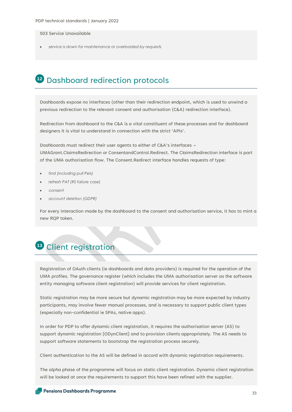#### 503 Service Unavailable

• *service is down for maintenance or overloaded by requests*

# Dashboard redirection protocols **12**

Dashboards expose no interfaces (other than their redirection endpoint, which is used to unwind a previous redirection to the relevant consent and authorisation (C&A) redirection interface).

Redirection from dashboard to the C&A is a vital constituent of these processes and for dashboard designers it is vital to understand in connection with the strict 'APIs'.

Dashboards must redirect their user agents to either of C&A's interfaces –

UMAGrant.ClaimsRedirection or ConsentandControl.Redirect. The ClaimsRedirection interface is part of the UMA authorisation flow. The Consent.Redirect interface handles requests of type:

- *find (including pull Peis)*
- *refresh PAT (RS failure case)*
- *consent*
- *account deletion (GDPR)*

For every interaction made by the dashboard to the consent and authorisation service, it has to mint a new RQP token.

# Client registration **13**

Registration of OAuth clients (ie dashboards and data providers) is required for the operation of the UMA profiles. The governance register (which includes the UMA authorisation server as the software entity managing software client registration) will provide services for client registration.

Static registration may be more secure but dynamic registration may be more expected by industry participants, may involve fewer manual processes, and is necessary to support public client types (especially non-confidential ie SPAs, native apps).

In order for PDP to offer dynamic client registration, it requires the authorisation server (AS) to support dynamic registration [ODynClient] and to provision clients appropriately. The AS needs to support software statements to bootstrap the registration process securely.

Client authentication to the AS will be defined in accord with dynamic registration requirements.

The alpha phase of the programme will focus on static client registration. Dynamic client registration will be looked at once the requirements to support this have been refined with the supplier.